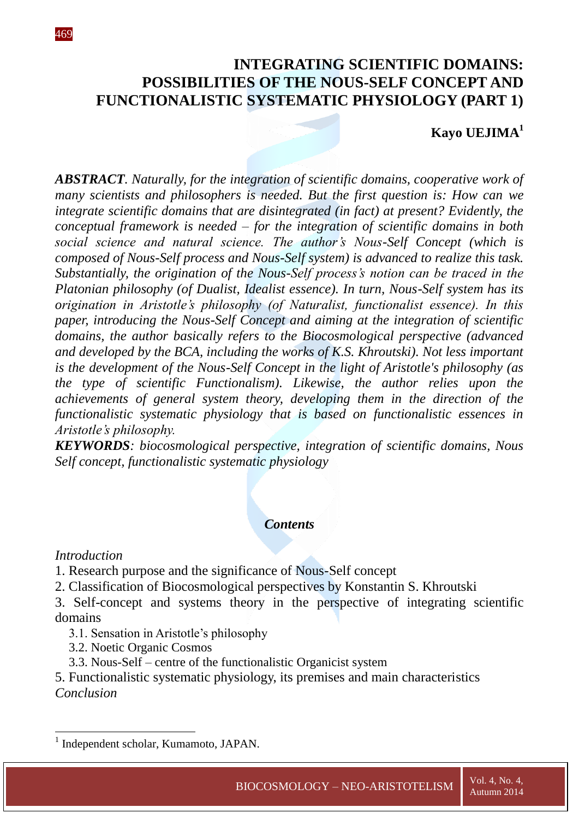# **INTEGRATING SCIENTIFIC DOMAINS: POSSIBILITIES OF THE NOUS-SELF CONCEPT AND FUNCTIONALISTIC SYSTEMATIC PHYSIOLOGY (PART 1)**

# **Kayo UEJIMA 1**

*ABSTRACT. Naturally, for the integration of scientific domains, cooperative work of many scientists and philosophers is needed. But the first question is: How can we integrate scientific domains that are disintegrated (in fact) at present? Evidently, the conceptual framework is needed – for the integration of scientific domains in both social science and natural science. The author's Nous-Self Concept (which is composed of Nous-Self process and Nous-Self system) is advanced to realize this task. Substantially, the origination of the Nous-Self process's notion can be traced in the Platonian philosophy (of Dualist, Idealist essence). In turn, Nous-Self system has its origination in Aristotle's philosophy (of Naturalist, functionalist essence). In this paper, introducing the Nous-Self Concept and aiming at the integration of scientific domains, the author basically refers to the Biocosmological perspective (advanced and developed by the BCA, including the works of K.S. Khroutski). Not less important is the development of the Nous-Self Concept in the light of Aristotle's philosophy (as the type of scientific Functionalism). Likewise, the author relies upon the achievements of general system theory, developing them in the direction of the functionalistic systematic physiology that is based on functionalistic essences in Aristotle's philosophy.*

*KEYWORDS: biocosmological perspective, integration of scientific domains, Nous Self concept, functionalistic systematic physiology* 

## *Contents*

*Introduction*

1

- 1. Research purpose and the significance of Nous-Self concept
- 2. Classification of Biocosmological perspectives by Konstantin S. Khroutski

3. Self-concept and systems theory in the perspective of integrating scientific domains

- 3.1. Sensation in Aristotle's philosophy
- 3.2. Noetic Organic Cosmos
- 3.3. Nous-Self centre of the functionalistic Organicist system

5. Functionalistic systematic physiology, its premises and main characteristics *Conclusion*

<sup>&</sup>lt;sup>1</sup> Independent scholar, Kumamoto, JAPAN.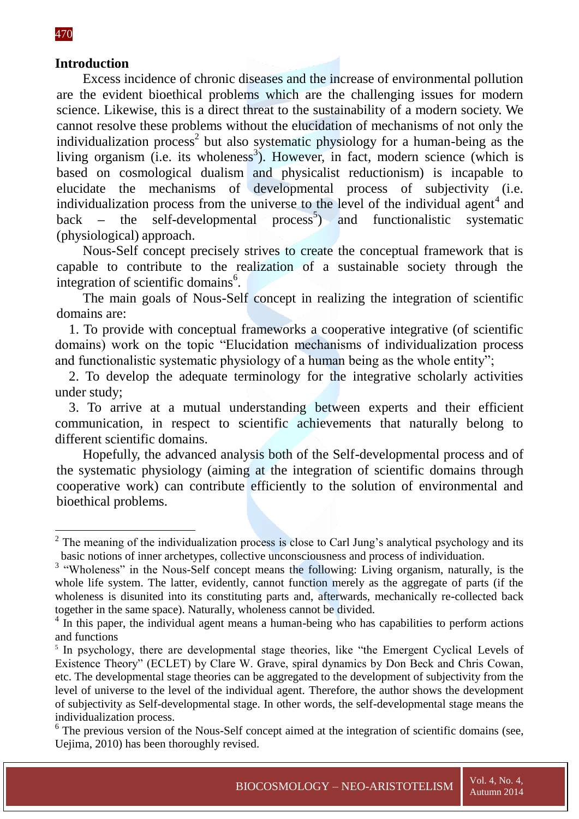#### **Introduction**

Excess incidence of chronic diseases and the increase of environmental pollution are the evident bioethical problems which are the challenging issues for modern science. Likewise, this is a direct threat to the sustainability of a modern society. We cannot resolve these problems without the elucidation of mechanisms of not only the individualization process<sup>2</sup> but also systematic physiology for a human-being as the living organism (i.e. its wholeness<sup>3</sup>). However, in fact, modern science (which is based on cosmological dualism and physicalist reductionism) is incapable to elucidate the mechanisms of developmental process of subjectivity (i.e. individualization process from the universe to the level of the individual agent<sup>4</sup> and back – the self-developmental process<sup>5</sup>) and functionalistic systematic (physiological) approach.

Nous-Self concept precisely strives to create the conceptual framework that is capable to contribute to the realization of a sustainable society through the integration of scientific domains<sup>6</sup>.

The main goals of Nous-Self concept in realizing the integration of scientific domains are:

1. To provide with conceptual frameworks a cooperative integrative (of scientific domains) work on the topic "Elucidation mechanisms of individualization process and functionalistic systematic physiology of a human being as the whole entity";

2. To develop the adequate terminology for the integrative scholarly activities under study;

3. To arrive at a mutual understanding between experts and their efficient communication, in respect to scientific achievements that naturally belong to different scientific domains.

Hopefully, the advanced analysis both of the Self-developmental process and of the systematic physiology (aiming at the integration of scientific domains through cooperative work) can contribute efficiently to the solution of environmental and bioethical problems.

#### 470

<u>.</u>

 $2$  The meaning of the individualization process is close to Carl Jung's analytical psychology and its basic notions of inner archetypes, collective unconsciousness and process of individuation.

<sup>&</sup>lt;sup>3</sup> "Wholeness" in the Nous-Self concept means the following: Living organism, naturally, is the whole life system. The latter, evidently, cannot function merely as the aggregate of parts (if the wholeness is disunited into its constituting parts and, afterwards, mechanically re-collected back together in the same space). Naturally, wholeness cannot be divided.

<sup>&</sup>lt;sup>4</sup> In this paper, the individual agent means a human-being who has capabilities to perform actions and functions

<sup>&</sup>lt;sup>5</sup> In psychology, there are developmental stage theories, like "the Emergent Cyclical Levels of Existence Theory" (ECLET) by Clare W. Grave, spiral dynamics by Don Beck and Chris Cowan, etc. The developmental stage theories can be aggregated to the development of subjectivity from the level of universe to the level of the individual agent. Therefore, the author shows the development of subjectivity as Self-developmental stage. In other words, the self-developmental stage means the individualization process.

<sup>&</sup>lt;sup>6</sup> The previous version of the Nous-Self concept aimed at the integration of scientific domains (see, Ueiima, 2010) has been thoroughly revised.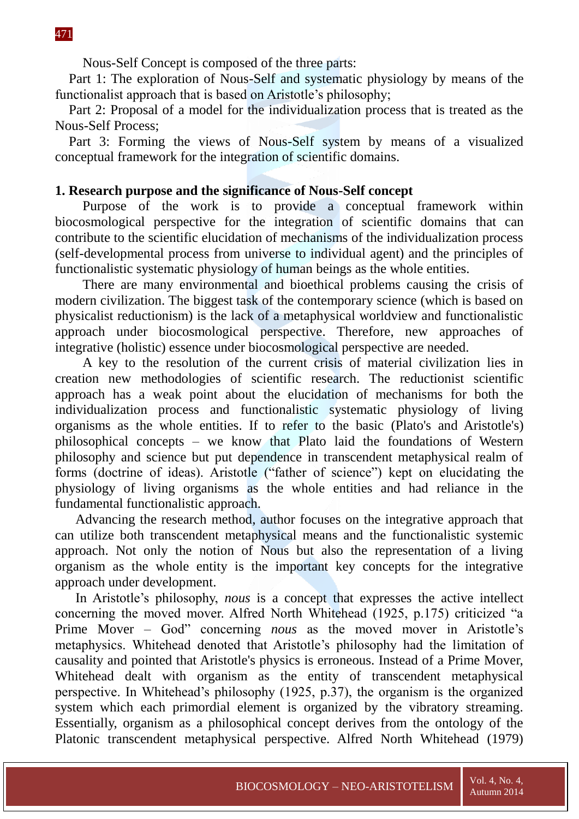Part 1: The exploration of Nous-Self and systematic physiology by means of the functionalist approach that is based on Aristotle's philosophy;

Part 2: Proposal of a model for the individualization process that is treated as the Nous-Self Process;

Part 3: Forming the views of Nous-Self system by means of a visualized conceptual framework for the integration of scientific domains.

#### **1. Research purpose and the significance of Nous-Self concept**

Purpose of the work is to provide a conceptual framework within biocosmological perspective for the integration of scientific domains that can contribute to the scientific elucidation of mechanisms of the individualization process (self-developmental process from universe to individual agent) and the principles of functionalistic systematic physiology of human beings as the whole entities.

There are many environmental and bioethical problems causing the crisis of modern civilization. The biggest task of the contemporary science (which is based on physicalist reductionism) is the lack of a metaphysical worldview and functionalistic approach under biocosmological perspective. Therefore, new approaches of integrative (holistic) essence under biocosmological perspective are needed.

A key to the resolution of the current crisis of material civilization lies in creation new methodologies of scientific research. The reductionist scientific approach has a weak point about the elucidation of mechanisms for both the individualization process and functionalistic systematic physiology of living organisms as the whole entities. If to refer to the basic (Plato's and Aristotle's) philosophical concepts – we know that Plato laid the foundations of Western philosophy and science but put dependence in transcendent metaphysical realm of forms (doctrine of ideas). Aristotle ("father of science") kept on elucidating the physiology of living organisms as the whole entities and had reliance in the fundamental functionalistic approach.

Advancing the research method, author focuses on the integrative approach that can utilize both transcendent metaphysical means and the functionalistic systemic approach. Not only the notion of Nous but also the representation of a living organism as the whole entity is the important key concepts for the integrative approach under development.

In Aristotle's philosophy, *nous* is a concept that expresses the active intellect concerning the moved mover. Alfred North Whitehead (1925, p.175) criticized "a Prime Mover – God" concerning *nous* as the moved mover in Aristotle's metaphysics. Whitehead denoted that Aristotle's philosophy had the limitation of causality and pointed that Aristotle's physics is erroneous. Instead of a Prime Mover, Whitehead dealt with organism as the entity of transcendent metaphysical perspective. In Whitehead's philosophy (1925, p.37), the organism is the organized system which each primordial element is organized by the vibratory streaming. Essentially, organism as a philosophical concept derives from the ontology of the Platonic transcendent metaphysical perspective. Alfred North Whitehead (1979)

#### 471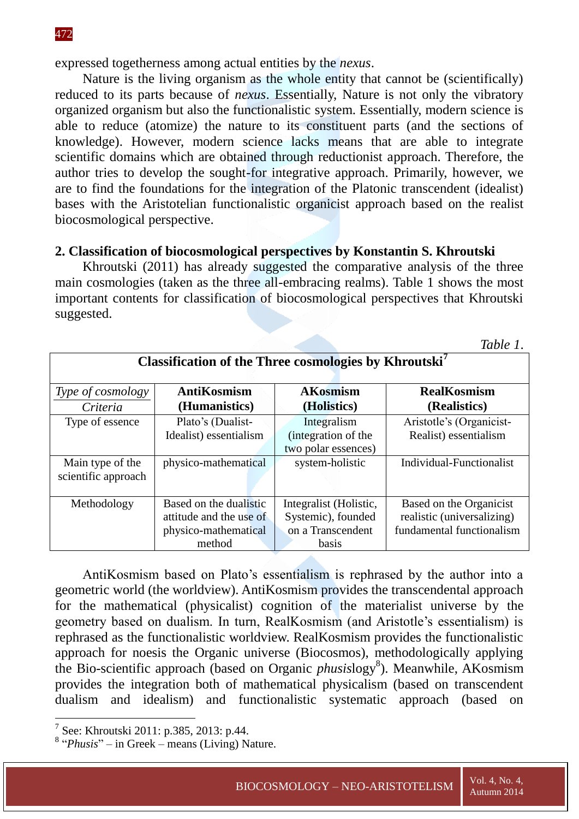expressed togetherness among actual entities by the *nexus*.

Nature is the living organism as the whole entity that cannot be (scientifically) reduced to its parts because of *nexus*. Essentially, Nature is not only the vibratory organized organism but also the functionalistic system. Essentially, modern science is able to reduce (atomize) the nature to its constituent parts (and the sections of knowledge). However, modern science lacks means that are able to integrate scientific domains which are obtained through reductionist approach. Therefore, the author tries to develop the sought-for integrative approach. Primarily, however, we are to find the foundations for the integration of the Platonic transcendent (idealist) bases with the Aristotelian functionalistic organicist approach based on the realist biocosmological perspective.

#### **2. Classification of biocosmological perspectives by Konstantin S. Khroutski**

Khroutski (2011) has already suggested the comparative analysis of the three main cosmologies (taken as the three all-embracing realms). Table 1 shows the most important contents for classification of biocosmological perspectives that Khroutski suggested.

*Table 1*.

| Classification of the Three cosmologies by Khroutski <sup>7</sup> |                         |                        |                            |
|-------------------------------------------------------------------|-------------------------|------------------------|----------------------------|
| Type of cosmology                                                 | <b>AntiKosmism</b>      | <b>AKosmism</b>        | <b>RealKosmism</b>         |
| Criteria                                                          | (Humanistics)           | (Holistics)            | (Realistics)               |
| Type of essence                                                   | Plato's (Dualist-       | Integralism            | Aristotle's (Organicist-   |
|                                                                   | Idealist) essentialism  | (integration of the    | Realist) essentialism      |
|                                                                   |                         | two polar essences)    |                            |
| Main type of the                                                  | physico-mathematical    | system-holistic        | Individual-Functionalist   |
| scientific approach                                               |                         |                        |                            |
|                                                                   |                         |                        |                            |
| Methodology                                                       | Based on the dualistic  | Integralist (Holistic, | Based on the Organicist    |
|                                                                   | attitude and the use of | Systemic), founded     | realistic (universalizing) |
|                                                                   | physico-mathematical    | on a Transcendent      | fundamental functionalism  |
|                                                                   | method                  | basis                  |                            |

AntiKosmism based on Plato's essentialism is rephrased by the author into a geometric world (the worldview). AntiKosmism provides the transcendental approach for the mathematical (physicalist) cognition of the materialist universe by the geometry based on dualism. In turn, RealKosmism (and Aristotle's essentialism) is rephrased as the functionalistic worldview. RealKosmism provides the functionalistic approach for noesis the Organic universe (Biocosmos), methodologically applying the Bio-scientific approach (based on Organic *phusislogy<sup>8</sup>*). Meanwhile, AKosmism provides the integration both of mathematical physicalism (based on transcendent dualism and idealism) and functionalistic systematic approach (based on

1

<sup>&</sup>lt;sup>7</sup> See: Khroutski 2011: p.385, 2013: p.44.

<sup>8</sup> "*Phusis*" – in Greek – means (Living) Nature.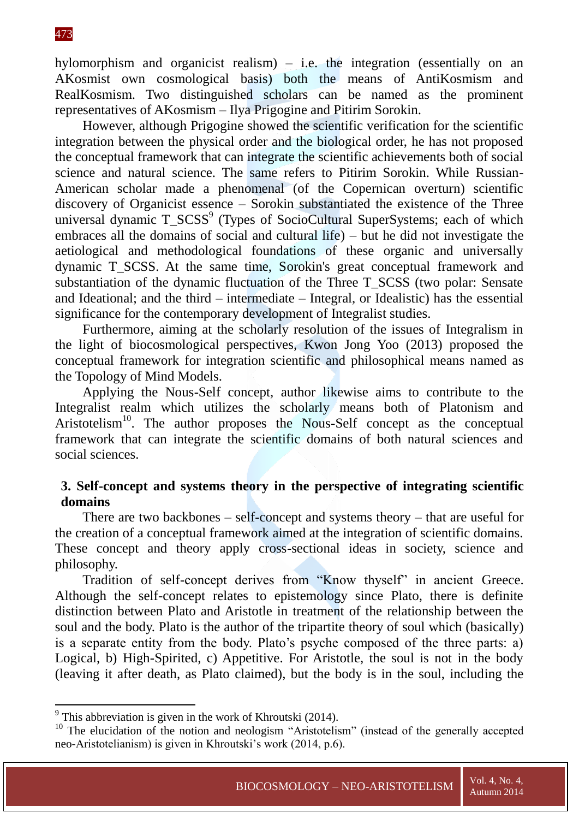1

hylomorphism and organicist realism) – i.e. the integration (essentially on an AKosmist own cosmological basis) both the means of AntiKosmism and RealKosmism. Two distinguished scholars can be named as the prominent representatives of AKosmism – Ilya Prigogine and Pitirim Sorokin.

However, although Prigogine showed the scientific verification for the scientific integration between the physical order and the biological order, he has not proposed the conceptual framework that can integrate the scientific achievements both of social science and natural science. The same refers to Pitirim Sorokin. While Russian-American scholar made a phenomenal (of the Copernican overturn) scientific discovery of Organicist essence – Sorokin substantiated the existence of the Three universal dynamic T\_SCSS<sup>9</sup> (Types of SocioCultural SuperSystems; each of which embraces all the domains of social and cultural life) – but he did not investigate the aetiological and methodological foundations of these organic and universally dynamic T\_SCSS. At the same time, Sorokin's great conceptual framework and substantiation of the dynamic fluctuation of the Three T\_SCSS (two polar: Sensate and Ideational; and the third – intermediate – Integral, or Idealistic) has the essential significance for the contemporary development of Integralist studies.

Furthermore, aiming at the scholarly resolution of the issues of Integralism in the light of biocosmological perspectives, Kwon Jong Yoo (2013) proposed the conceptual framework for integration scientific and philosophical means named as the Topology of Mind Models.

Applying the Nous-Self concept, author likewise aims to contribute to the Integralist realm which utilizes the scholarly means both of Platonism and Aristotelism<sup>10</sup>. The author proposes the Nous-Self concept as the conceptual framework that can integrate the scientific domains of both natural sciences and social sciences.

# **3. Self-concept and systems theory in the perspective of integrating scientific domains**

There are two backbones – self-concept and systems theory – that are useful for the creation of a conceptual framework aimed at the integration of scientific domains. These concept and theory apply cross-sectional ideas in society, science and philosophy.

Tradition of self-concept derives from "Know thyself" in ancient Greece. Although the self-concept relates to epistemology since Plato, there is definite distinction between Plato and Aristotle in treatment of the relationship between the soul and the body. Plato is the author of the tripartite theory of soul which (basically) is a separate entity from the body. Plato's psyche composed of the three parts: a) Logical, b) High-Spirited, c) Appetitive. For Aristotle, the soul is not in the body (leaving it after death, as Plato claimed), but the body is in the soul, including the

 $9$  This abbreviation is given in the work of Khroutski (2014).

 $10$  The elucidation of the notion and neologism "Aristotelism" (instead of the generally accepted neo-Aristotelianism) is given in Khroutski's work (2014, p.6).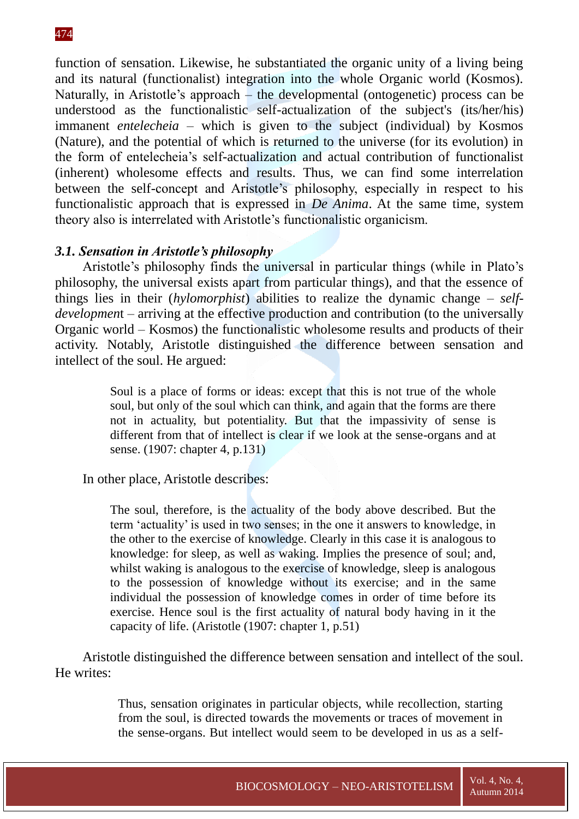function of sensation. Likewise, he substantiated the organic unity of a living being and its natural (functionalist) integration into the whole Organic world (Kosmos). Naturally, in Aristotle's approach – the developmental (ontogenetic) process can be understood as the functionalistic self-actualization of the subject's (its/her/his) immanent *entelecheia* – which is given to the subject (individual) by Kosmos (Nature), and the potential of which is returned to the universe (for its evolution) in the form of entelecheia's self-actualization and actual contribution of functionalist (inherent) wholesome effects and results. Thus, we can find some interrelation between the self-concept and Aristotle's philosophy, especially in respect to his functionalistic approach that is expressed in *De Anima*. At the same time, system theory also is interrelated with Aristotle's functionalistic organicism.

## *3.1. Sensation in Aristotle's philosophy*

Aristotle's philosophy finds the universal in particular things (while in Plato's philosophy, the universal exists apart from particular things), and that the essence of things lies in their (*hylomorphist*) abilities to realize the dynamic change – *selfdevelopmen*t – arriving at the effective production and contribution (to the universally Organic world – Kosmos) the functionalistic wholesome results and products of their activity. Notably, Aristotle distinguished the difference between sensation and intellect of the soul. He argued:

> Soul is a place of forms or ideas: except that this is not true of the whole soul, but only of the soul which can think, and again that the forms are there not in actuality, but potentiality. But that the impassivity of sense is different from that of intellect is clear if we look at the sense-organs and at sense. (1907: chapter 4, p.131)

In other place, Aristotle describes:

The soul, therefore, is the actuality of the body above described. But the term 'actuality' is used in two senses; in the one it answers to knowledge, in the other to the exercise of knowledge. Clearly in this case it is analogous to knowledge: for sleep, as well as waking. Implies the presence of soul; and, whilst waking is analogous to the exercise of knowledge, sleep is analogous to the possession of knowledge without its exercise; and in the same individual the possession of knowledge comes in order of time before its exercise. Hence soul is the first actuality of natural body having in it the capacity of life. (Aristotle (1907: chapter 1, p.51)

Aristotle distinguished the difference between sensation and intellect of the soul. He writes:

> Thus, sensation originates in particular objects, while recollection, starting from the soul, is directed towards the movements or traces of movement in the sense-organs. But intellect would seem to be developed in us as a self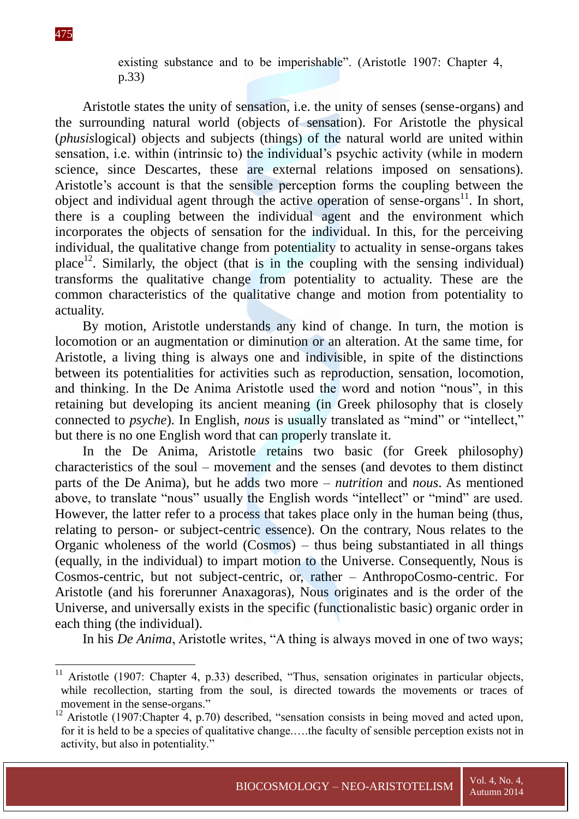existing substance and to be imperishable". (Aristotle 1907: Chapter 4, p.33)

Aristotle states the unity of sensation, i.e. the unity of senses (sense-organs) and the surrounding natural world (objects of sensation). For Aristotle the physical (*phusis*logical) objects and subjects (things) of the natural world are united within sensation, i.e. within (intrinsic to) the individual's psychic activity (while in modern science, since Descartes, these are external relations imposed on sensations). Aristotle's account is that the sensible perception forms the coupling between the object and individual agent through the active operation of sense-organs<sup>11</sup>. In short, there is a coupling between the individual agent and the environment which incorporates the objects of sensation for the individual. In this, for the perceiving individual, the qualitative change from potentiality to actuality in sense-organs takes place<sup>12</sup>. Similarly, the object (that is in the coupling with the sensing individual) transforms the qualitative change from potentiality to actuality. These are the common characteristics of the qualitative change and motion from potentiality to actuality.

By motion, Aristotle understands any kind of change. In turn, the motion is locomotion or an augmentation or diminution or an alteration. At the same time, for Aristotle, a living thing is always one and indivisible, in spite of the distinctions between its potentialities for activities such as reproduction, sensation, locomotion, and thinking. In the De Anima Aristotle used the word and notion "nous", in this retaining but developing its ancient meaning (in Greek philosophy that is closely connected to *psyche*). In English, *nous* is usually translated as "mind" or "intellect," but there is no one English word that can properly translate it.

In the De Anima, Aristotle retains two basic (for Greek philosophy) characteristics of the soul – movement and the senses (and devotes to them distinct parts of the De Anima), but he adds two more – *nutrition* and *nous*. As mentioned above, to translate "nous" usually the English words "intellect" or "mind" are used. However, the latter refer to a process that takes place only in the human being (thus, relating to person- or subject-centric essence). On the contrary, Nous relates to the Organic wholeness of the world (Cosmos) – thus being substantiated in all things (equally, in the individual) to impart motion to the Universe. Consequently, Nous is Cosmos-centric, but not subject-centric, or, rather – AnthropoCosmo-centric. For Aristotle (and his forerunner Anaxagoras), Nous originates and is the order of the Universe, and universally exists in the specific (functionalistic basic) organic order in each thing (the individual).

In his *De Anima*, Aristotle writes, "A thing is always moved in one of two ways;

475

1

Aristotle (1907: Chapter 4, p.33) described, "Thus, sensation originates in particular objects, while recollection, starting from the soul, is directed towards the movements or traces of movement in the sense-organs."

<sup>&</sup>lt;sup>12</sup> Aristotle (1907:Chapter 4, p.70) described, "sensation consists in being moved and acted upon, for it is held to be a species of qualitative change.….the faculty of sensible perception exists not in activity, but also in potentiality."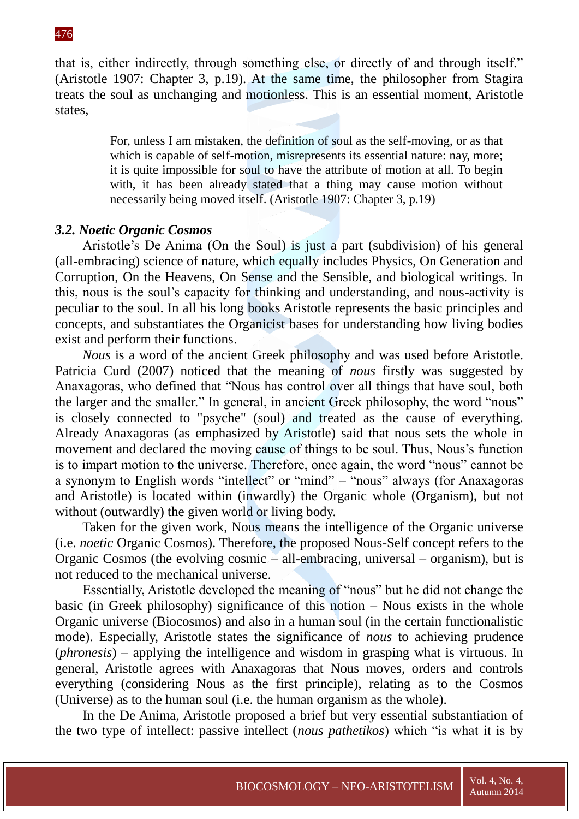

that is, either indirectly, through something else, or directly of and through itself." (Aristotle 1907: Chapter 3, p.19). At the same time, the philosopher from Stagira treats the soul as unchanging and motionless. This is an essential moment, Aristotle states,

> For, unless I am mistaken, the definition of soul as the self-moving, or as that which is capable of self-motion, misrepresents its essential nature: nay, more; it is quite impossible for soul to have the attribute of motion at all. To begin with, it has been already stated that a thing may cause motion without necessarily being moved itself. (Aristotle 1907: Chapter 3, p.19)

#### *3.2. Noetic Organic Cosmos*

Aristotle's De Anima (On the Soul) is just a part (subdivision) of his general (all-embracing) science of nature, which equally includes Physics, On Generation and Corruption, On the Heavens, On Sense and the Sensible, and biological writings. In this, nous is the soul's capacity for thinking and understanding, and nous-activity is peculiar to the soul. In all his long books Aristotle represents the basic principles and concepts, and substantiates the Organicist bases for understanding how living bodies exist and perform their functions.

*Nous* is a word of the ancient Greek philosophy and was used before Aristotle. Patricia Curd (2007) noticed that the meaning of *nous* firstly was suggested by Anaxagoras, who defined that "Nous has control over all things that have soul, both the larger and the smaller." In general, in ancient Greek philosophy, the word "nous" is closely connected to "psyche" (soul) and treated as the cause of everything. Already Anaxagoras (as emphasized by Aristotle) said that nous sets the whole in movement and declared the moving cause of things to be soul. Thus, Nous's function is to impart motion to the universe. Therefore, once again, the word "nous" cannot be a synonym to English words "intellect" or "mind" – "nous" always (for Anaxagoras and Aristotle) is located within (inwardly) the Organic whole (Organism), but not without (outwardly) the given world or living body.

Taken for the given work, Nous means the intelligence of the Organic universe (i.e. *noetic* Organic Cosmos). Therefore, the proposed Nous-Self concept refers to the Organic Cosmos (the evolving cosmic – all-embracing, universal – organism), but is not reduced to the mechanical universe.

Essentially, Aristotle developed the meaning of "nous" but he did not change the basic (in Greek philosophy) significance of this notion – Nous exists in the whole Organic universe (Biocosmos) and also in a human soul (in the certain functionalistic mode). Especially, Aristotle states the significance of *nous* to achieving prudence (*phronesis*) – applying the intelligence and wisdom in grasping what is virtuous. In general, Aristotle agrees with Anaxagoras that Nous moves, orders and controls everything (considering Nous as the first principle), relating as to the Cosmos (Universe) as to the human soul (i.e. the human organism as the whole).

In the De Anima, Aristotle proposed a brief but very essential substantiation of the two type of intellect: passive intellect (*nous pathetikos*) which "is what it is by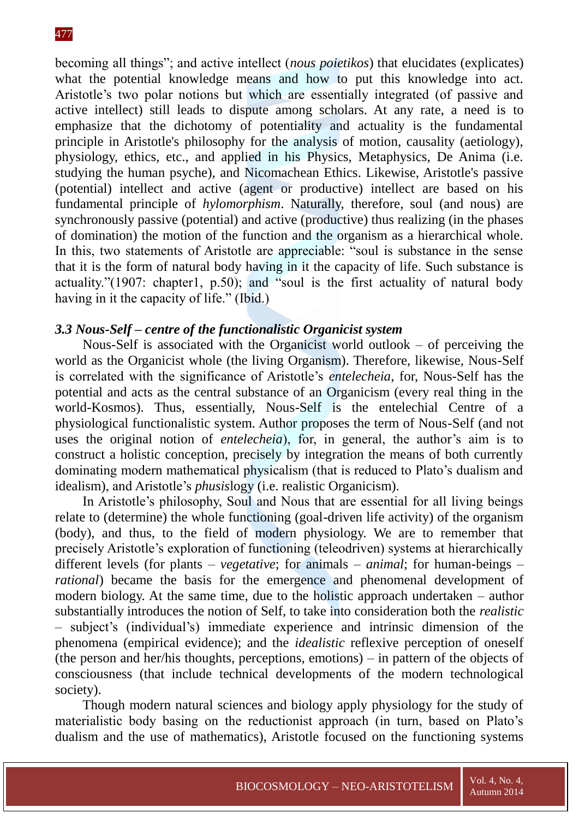becoming all things"; and active intellect (*nous poietikos*) that elucidates (explicates) what the potential knowledge means and how to put this knowledge into act. Aristotle's two polar notions but which are essentially integrated (of passive and active intellect) still leads to dispute among scholars. At any rate, a need is to emphasize that the dichotomy of potentiality and actuality is the fundamental principle in Aristotle's philosophy for the analysis of motion, causality (aetiology), physiology, ethics, etc., and applied in his Physics, Metaphysics, De Anima (i.e. studying the human psyche), and Nicomachean Ethics. Likewise, Aristotle's passive (potential) intellect and active (agent or productive) intellect are based on his fundamental principle of *hylomorphism*. Naturally, therefore, soul (and nous) are synchronously passive (potential) and active (productive) thus realizing (in the phases of domination) the motion of the function and the organism as a hierarchical whole. In this, two statements of Aristotle are appreciable: "soul is substance in the sense that it is the form of natural body having in it the capacity of life. Such substance is actuality."(1907: chapter1, p.50); and "soul is the first actuality of natural body having in it the capacity of life." (Ibid.)

## *3.3 Nous-Self – centre of the functionalistic Organicist system*

Nous-Self is associated with the Organicist world outlook – of perceiving the world as the Organicist whole (the living Organism). Therefore, likewise, Nous-Self is correlated with the significance of Aristotle's *entelecheia*, for, Nous-Self has the potential and acts as the central substance of an Organicism (every real thing in the world-Kosmos). Thus, essentially, Nous-Self is the entelechial Centre of a physiological functionalistic system. Author proposes the term of Nous-Self (and not uses the original notion of *entelecheia*), for, in general, the author's aim is to construct a holistic conception, precisely by integration the means of both currently dominating modern mathematical physicalism (that is reduced to Plato's dualism and idealism), and Aristotle's *phusis*logy (i.e. realistic Organicism).

In Aristotle's philosophy, Soul and Nous that are essential for all living beings relate to (determine) the whole functioning (goal-driven life activity) of the organism (body), and thus, to the field of modern physiology. We are to remember that precisely Aristotle's exploration of functioning (teleodriven) systems at hierarchically different levels (for plants – *vegetative*; for animals – *animal*; for human-beings – *rational*) became the basis for the emergence and phenomenal development of modern biology. At the same time, due to the holistic approach undertaken – author substantially introduces the notion of Self, to take into consideration both the *realistic* – subject's (individual's) immediate experience and intrinsic dimension of the phenomena (empirical evidence); and the *idealistic* reflexive perception of oneself (the person and her/his thoughts, perceptions, emotions) – in pattern of the objects of consciousness (that include technical developments of the modern technological society).

Though modern natural sciences and biology apply physiology for the study of materialistic body basing on the reductionist approach (in turn, based on Plato's dualism and the use of mathematics), Aristotle focused on the functioning systems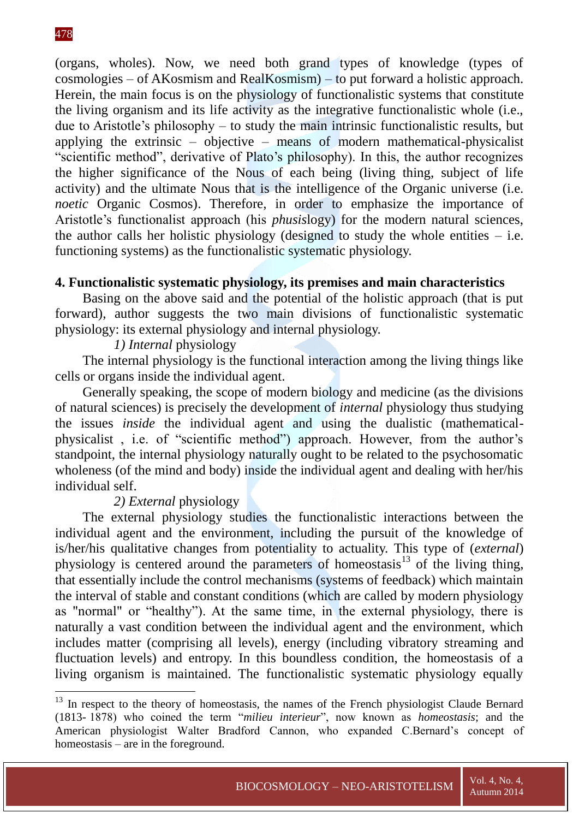<u>.</u>

(organs, wholes). Now, we need both grand types of knowledge (types of cosmologies – of AKosmism and RealKosmism) – to put forward a holistic approach. Herein, the main focus is on the physiology of functionalistic systems that constitute the living organism and its life activity as the integrative functionalistic whole (i.e., due to Aristotle's philosophy – to study the main intrinsic functionalistic results, but applying the extrinsic – objective – means of modern mathematical-physicalist "scientific method", derivative of Plato's philosophy). In this, the author recognizes the higher significance of the Nous of each being (living thing, subject of life activity) and the ultimate Nous that is the intelligence of the Organic universe (i.e. *noetic* Organic Cosmos). Therefore, in order to emphasize the importance of Aristotle's functionalist approach (his *phusis*logy) for the modern natural sciences, the author calls her holistic physiology (designed to study the whole entities  $-$  i.e. functioning systems) as the functionalistic systematic physiology.

## **4. Functionalistic systematic physiology, its premises and main characteristics**

Basing on the above said and the potential of the holistic approach (that is put forward), author suggests the two main divisions of functionalistic systematic physiology: its external physiology and internal physiology.

## *1) Internal* physiology

The internal physiology is the functional interaction among the living things like cells or organs inside the individual agent.

Generally speaking, the scope of modern biology and medicine (as the divisions of natural sciences) is precisely the development of *internal* physiology thus studying the issues *inside* the individual agent and using the dualistic (mathematicalphysicalist , i.e. of "scientific method") approach. However, from the author's standpoint, the internal physiology naturally ought to be related to the psychosomatic wholeness (of the mind and body) inside the individual agent and dealing with her/his individual self.

## *2) External* physiology

The external physiology studies the functionalistic interactions between the individual agent and the environment, including the pursuit of the knowledge of is/her/his qualitative changes from potentiality to actuality. This type of (*external*) physiology is centered around the parameters of homeostasis<sup>13</sup> of the living thing, that essentially include the control mechanisms (systems of feedback) which maintain the interval of stable and constant conditions (which are called by modern physiology as "normal" or "healthy"). At the same time, in the external physiology, there is naturally a vast condition between the individual agent and the environment, which includes matter (comprising all levels), energy (including vibratory streaming and fluctuation levels) and entropy. In this boundless condition, the homeostasis of a living organism is maintained. The functionalistic systematic physiology equally

 $13$  In respect to the theory of homeostasis, the names of the French physiologist Claude Bernard (1813- 1878) who coined the term "*milieu interieur*", now known as *homeostasis*; and the American physiologist Walter Bradford Cannon, who expanded C.Bernard's concept of homeostasis – are in the foreground.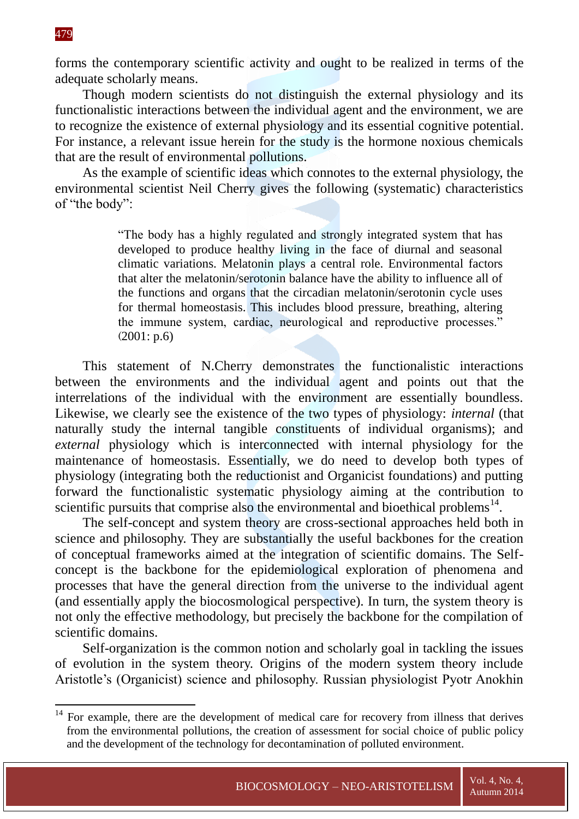

1

forms the contemporary scientific activity and ought to be realized in terms of the adequate scholarly means.

Though modern scientists do not distinguish the external physiology and its functionalistic interactions between the individual agent and the environment, we are to recognize the existence of external physiology and its essential cognitive potential. For instance, a relevant issue herein for the study is the hormone noxious chemicals that are the result of environmental pollutions.

As the example of scientific ideas which connotes to the external physiology, the environmental scientist Neil Cherry gives the following (systematic) characteristics of "the body":

> "The body has a highly regulated and strongly integrated system that has developed to produce healthy living in the face of diurnal and seasonal climatic variations. Melatonin plays a central role. Environmental factors that alter the melatonin/serotonin balance have the ability to influence all of the functions and organs that the circadian melatonin/serotonin cycle uses for thermal homeostasis. This includes blood pressure, breathing, altering the immune system, cardiac, neurological and reproductive processes." (2001: p.6)

This statement of N.Cherry demonstrates the functionalistic interactions between the environments and the individual agent and points out that the interrelations of the individual with the environment are essentially boundless. Likewise, we clearly see the existence of the two types of physiology: *internal* (that naturally study the internal tangible constituents of individual organisms); and *external* physiology which is interconnected with internal physiology for the maintenance of homeostasis. Essentially, we do need to develop both types of physiology (integrating both the reductionist and Organicist foundations) and putting forward the functionalistic systematic physiology aiming at the contribution to scientific pursuits that comprise also the environmental and bioethical problems $<sup>14</sup>$ .</sup>

The self-concept and system theory are cross-sectional approaches held both in science and philosophy. They are substantially the useful backbones for the creation of conceptual frameworks aimed at the integration of scientific domains. The Selfconcept is the backbone for the epidemiological exploration of phenomena and processes that have the general direction from the universe to the individual agent (and essentially apply the biocosmological perspective). In turn, the system theory is not only the effective methodology, but precisely the backbone for the compilation of scientific domains.

Self-organization is the common notion and scholarly goal in tackling the issues of evolution in the system theory. Origins of the modern system theory include Aristotle's (Organicist) science and philosophy. Russian physiologist Pyotr Anokhin

<sup>&</sup>lt;sup>14</sup> For example, there are the development of medical care for recovery from illness that derives from the environmental pollutions, the creation of assessment for social choice of public policy and the development of the technology for decontamination of polluted environment.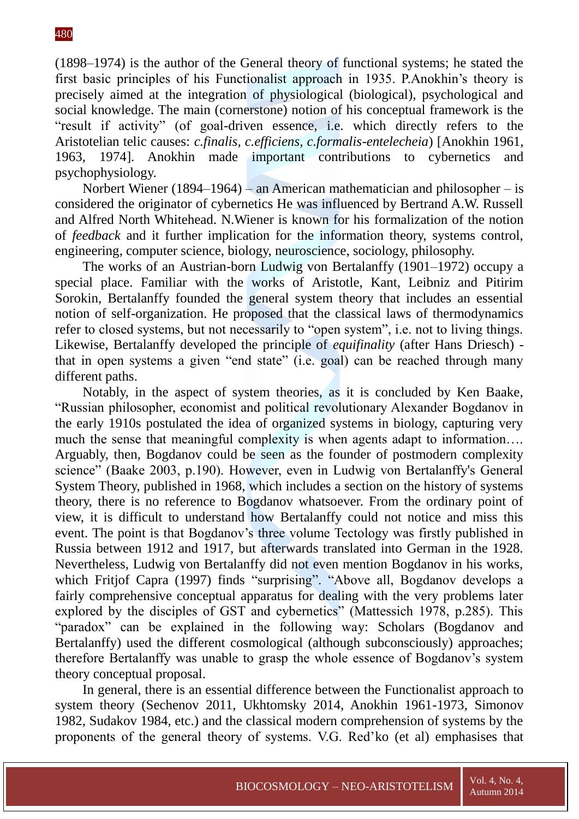(1898–1974) is the author of the General theory of functional systems; he stated the first basic principles of his Functionalist approach in 1935. P.Anokhin's theory is precisely aimed at the integration of physiological (biological), psychological and social knowledge. The main (cornerstone) notion of his conceptual framework is the "result if activity" (of goal-driven essence, i.e. which directly refers to the Aristotelian telic causes: *c.finalis, c.efficiens, c.formalis-entelecheia*) [Anokhin 1961, 1963, 1974]. Anokhin made important contributions to cybernetics and psychophysiology.

Norbert Wiener  $(1894–1964)$  – an American mathematician and philosopher – is considered the originator of cybernetics He was influenced by Bertrand A.W. Russell and Alfred North Whitehead. N.Wiener is known for his formalization of the notion of *feedback* and it further implication for the information theory, systems control, engineering, computer science, biology, neuroscience, sociology, philosophy.

The works of an Austrian-born Ludwig von Bertalanffy (1901–1972) occupy a special place. Familiar with the works of Aristotle, Kant, Leibniz and Pitirim Sorokin, Bertalanffy founded the general system theory that includes an essential notion of self-organization. He proposed that the classical laws of thermodynamics refer to closed systems, but not necessarily to "open system", i.e. not to living things. Likewise, Bertalanffy developed the principle of *equifinality* (after Hans Driesch) that in open systems a given "end state" (i.e. goal) can be reached through many different paths.

Notably, in the aspect of system theories, as it is concluded by Ken Baake, "Russian philosopher, economist and political revolutionary Alexander Bogdanov in the early 1910s postulated the idea of organized systems in biology, capturing very much the sense that meaningful complexity is when agents adapt to information.... Arguably, then, Bogdanov could be seen as the founder of postmodern complexity science" (Baake 2003, p.190). However, even in Ludwig von Bertalanffy's General System Theory, published in 1968, which includes a section on the history of systems theory, there is no reference to Bogdanov whatsoever. From the ordinary point of view, it is difficult to understand how Bertalanffy could not notice and miss this event. The point is that Bogdanov's three volume Tectology was firstly published in Russia between 1912 and 1917, but afterwards translated into German in the 1928. Nevertheless, Ludwig von Bertalanffy did not even mention Bogdanov in his works, which Fritiof Capra (1997) finds "surprising". "Above all, Bogdanov develops a fairly comprehensive conceptual apparatus for dealing with the very problems later explored by the disciples of GST and cybernetics" (Mattessich 1978, p.285). This "paradox" can be explained in the following way: Scholars (Bogdanov and Bertalanffy) used the different cosmological (although subconsciously) approaches; therefore Bertalanffy was unable to grasp the whole essence of Bogdanov's system theory conceptual proposal.

In general, there is an essential difference between the Functionalist approach to system theory (Sechenov 2011, Ukhtomsky 2014, Anokhin 1961-1973, Simonov 1982, Sudakov 1984, etc.) and the classical modern comprehension of systems by the proponents of the general theory of systems. V.G. Red'ko (et al) emphasises that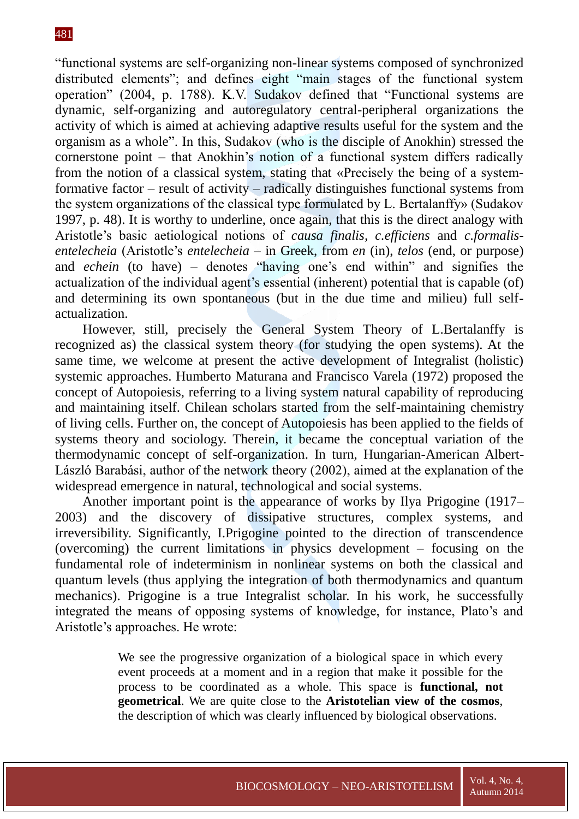"functional systems are self-organizing non-linear systems composed of synchronized distributed elements"; and defines eight "main stages of the functional system operation" (2004, p. 1788). K.V. Sudakov defined that "Functional systems are dynamic, self-organizing and autoregulatory central-peripheral organizations the activity of which is aimed at achieving adaptive results useful for the system and the organism as a whole". In this, Sudakov (who is the disciple of Anokhin) stressed the cornerstone point – that Anokhin's notion of a functional system differs radically from the notion of a classical system, stating that «Precisely the being of a systemformative factor – result of activity – radically distinguishes functional systems from the system organizations of the classical type formulated by L. Bertalanffy» (Sudakov 1997, p. 48). It is worthy to underline, once again, that this is the direct analogy with Aristotle's basic aetiological notions of *causa finalis, c.efficiens* and *c.formalisentelecheia* (Aristotle's *entelecheia* – in Greek, from *en* (in), *telos* (end, or purpose) and *echein* (to have) – denotes "having one's end within" and signifies the actualization of the individual agent's essential (inherent) potential that is capable (of) and determining its own spontaneous (but in the due time and milieu) full selfactualization.

However, still, precisely the General System Theory of L.Bertalanffy is recognized as) the classical system theory (for studying the open systems). At the same time, we welcome at present the active development of Integralist (holistic) systemic approaches. Humberto Maturana and Francisco Varela (1972) proposed the concept of Autopoiesis, referring to a living system natural capability of reproducing and maintaining itself. Chilean scholars started from the self-maintaining chemistry of living cells. Further on, the concept of Autopoiesis has been applied to the fields of systems theory and sociology. Therein, it became the conceptual variation of the thermodynamic concept of self-organization. In turn, Hungarian-American Albert-László Barabási, author of the network theory (2002), aimed at the explanation of the widespread emergence in natural, technological and social systems.

Another important point is the appearance of works by Ilya Prigogine (1917– 2003) and the discovery of dissipative structures, complex systems, and irreversibility. Significantly, I.Prigogine pointed to the direction of transcendence (overcoming) the current limitations in physics development – focusing on the fundamental role of indeterminism in nonlinear systems on both the classical and quantum levels (thus applying the integration of both thermodynamics and quantum mechanics). Prigogine is a true Integralist scholar. In his work, he successfully integrated the means of opposing systems of knowledge, for instance, Plato's and Aristotle's approaches. He wrote:

> We see the progressive organization of a biological space in which every event proceeds at a moment and in a region that make it possible for the process to be coordinated as a whole. This space is **functional, not geometrical**. We are quite close to the **Aristotelian view of the cosmos**, the description of which was clearly influenced by biological observations.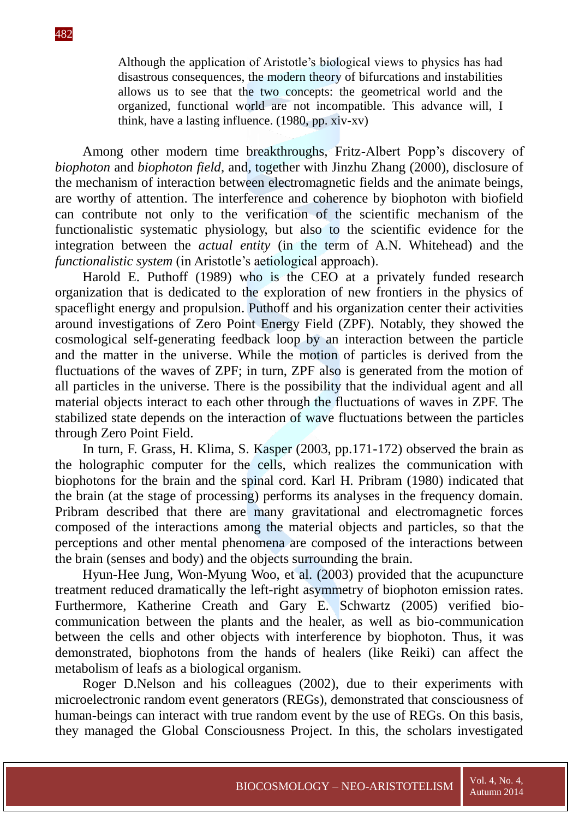

Although the application of Aristotle's biological views to physics has had disastrous consequences, the modern theory of bifurcations and instabilities allows us to see that the two concepts: the geometrical world and the organized, functional world are not incompatible. This advance will, I think, have a lasting influence. (1980, pp. xiv-xv)

Among other modern time breakthroughs, Fritz-Albert Popp's discovery of *biophoton* and *biophoton field*, and, together with Jinzhu Zhang (2000), disclosure of the mechanism of interaction between electromagnetic fields and the animate beings, are worthy of attention. The interference and coherence by biophoton with biofield can contribute not only to the verification of the scientific mechanism of the functionalistic systematic physiology, but also to the scientific evidence for the integration between the *actual entity* (in the term of A.N. Whitehead) and the *functionalistic system* (in Aristotle's aetiological approach).

Harold E. Puthoff (1989) who is the CEO at a privately funded research organization that is dedicated to the exploration of new frontiers in the physics of spaceflight energy and propulsion. Puthoff and his organization center their activities around investigations of Zero Point Energy Field (ZPF). Notably, they showed the cosmological self-generating feedback loop by an interaction between the particle and the matter in the universe. While the motion of particles is derived from the fluctuations of the waves of ZPF; in turn, ZPF also is generated from the motion of all particles in the universe. There is the possibility that the individual agent and all material objects interact to each other through the fluctuations of waves in ZPF. The stabilized state depends on the interaction of wave fluctuations between the particles through Zero Point Field.

In turn, F. Grass, H. Klima, S. Kasper (2003, pp.171-172) observed the brain as the holographic computer for the cells, which realizes the communication with biophotons for the brain and the spinal cord. Karl H. Pribram (1980) indicated that the brain (at the stage of processing) performs its analyses in the frequency domain. Pribram described that there are many gravitational and electromagnetic forces composed of the interactions among the material objects and particles, so that the perceptions and other mental phenomena are composed of the interactions between the brain (senses and body) and the objects surrounding the brain.

Hyun-Hee Jung, Won-Myung Woo, et al. (2003) provided that the acupuncture treatment reduced dramatically the left-right asymmetry of biophoton emission rates. Furthermore, Katherine Creath and Gary E. Schwartz (2005) verified biocommunication between the plants and the healer, as well as bio-communication between the cells and other objects with interference by biophoton. Thus, it was demonstrated, biophotons from the hands of healers (like Reiki) can affect the metabolism of leafs as a biological organism.

Roger D.Nelson and his colleagues (2002), due to their experiments with microelectronic random event generators (REGs), demonstrated that consciousness of human-beings can interact with true random event by the use of REGs. On this basis, they managed the Global Consciousness Project. In this, the scholars investigated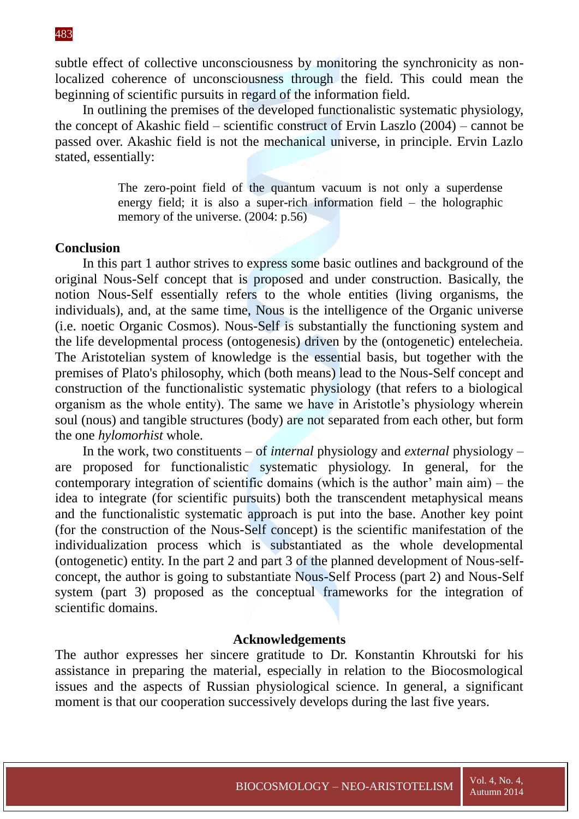subtle effect of collective unconsciousness by monitoring the synchronicity as nonlocalized coherence of unconsciousness through the field. This could mean the beginning of scientific pursuits in regard of the information field.

In outlining the premises of the developed functionalistic systematic physiology, the concept of Akashic field – scientific construct of Ervin Laszlo (2004) – cannot be passed over. Akashic field is not the mechanical universe, in principle. Ervin Lazlo stated, essentially:

> The zero-point field of the quantum vacuum is not only a superdense energy field; it is also a super-rich information field – the holographic memory of the universe. (2004: p.56)

#### **Conclusion**

In this part 1 author strives to express some basic outlines and background of the original Nous-Self concept that is proposed and under construction. Basically, the notion Nous-Self essentially refers to the whole entities (living organisms, the individuals), and, at the same time, Nous is the intelligence of the Organic universe (i.e. noetic Organic Cosmos). Nous-Self is substantially the functioning system and the life developmental process (ontogenesis) driven by the (ontogenetic) entelecheia. The Aristotelian system of knowledge is the essential basis, but together with the premises of Plato's philosophy, which (both means) lead to the Nous-Self concept and construction of the functionalistic systematic physiology (that refers to a biological organism as the whole entity). The same we have in Aristotle's physiology wherein soul (nous) and tangible structures (body) are not separated from each other, but form the one *hylomorhist* whole.

In the work, two constituents – of *internal* physiology and *external* physiology – are proposed for functionalistic systematic physiology. In general, for the contemporary integration of scientific domains (which is the author' main aim) – the idea to integrate (for scientific pursuits) both the transcendent metaphysical means and the functionalistic systematic approach is put into the base. Another key point (for the construction of the Nous-Self concept) is the scientific manifestation of the individualization process which is substantiated as the whole developmental (ontogenetic) entity. In the part 2 and part 3 of the planned development of Nous-selfconcept, the author is going to substantiate Nous-Self Process (part 2) and Nous-Self system (part 3) proposed as the conceptual frameworks for the integration of scientific domains.

#### **Acknowledgements**

The author expresses her sincere gratitude to Dr. Konstantin Khroutski for his assistance in preparing the material, especially in relation to the Biocosmological issues and the aspects of Russian physiological science. In general, a significant moment is that our cooperation successively develops during the last five years.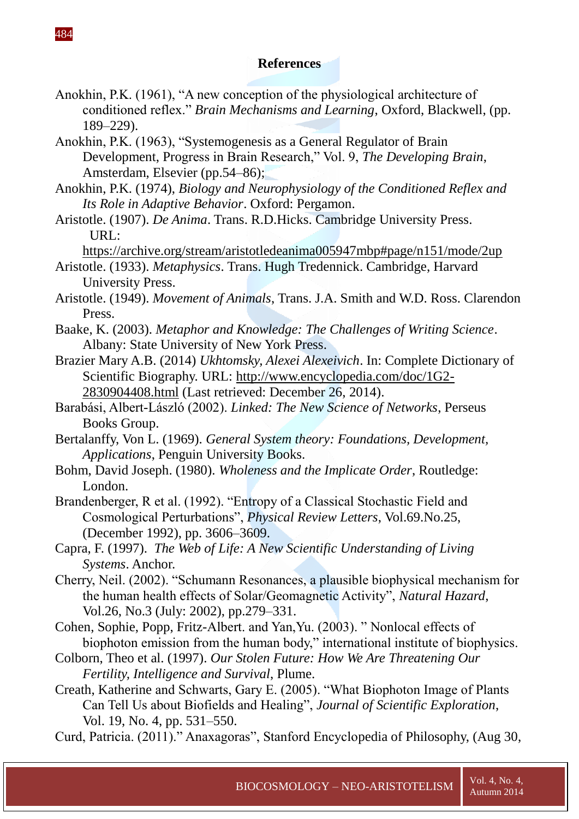### **References**

- Anokhin, P.K. (1961), "A new conception of the physiological architecture of conditioned reflex." *Brain Mechanisms and Learning*, Oxford, Blackwell, (pp. 189–229).
- Anokhin, P.K. (1963), "Systemogenesis as a General Regulator of Brain Development, Progress in Brain Research," Vol. 9, *The Developing Brain*, Amsterdam, Elsevier (pp.54–86);
- Anokhin, P.K. (1974), *Biology and Neurophysiology of the Conditioned Reflex and Its Role in Adaptive Behavior*. Oxford: Pergamon.
- Aristotle. (1907). *De Anima*. Trans. R.D.Hicks. Cambridge University Press. URL:

<https://archive.org/stream/aristotledeanima005947mbp#page/n151/mode/2up>

Aristotle. (1933). *Metaphysics*. Trans. Hugh Tredennick. Cambridge, Harvard University Press.

Aristotle. (1949). *Movement of Animals*, Trans. J.A. Smith and W.D. Ross. Clarendon Press.

- Baake, K. (2003). *Metaphor and Knowledge: The Challenges of Writing Science*. Albany: State University of New York Press.
- Brazier Mary A.B. (2014) *Ukhtomsky, Alexei Alexeivich*. In: Complete Dictionary of Scientific Biography. URL: [http://www.encyclopedia.com/doc/1G2-](http://www.encyclopedia.com/doc/1G2-2830904408.html) [2830904408.html](http://www.encyclopedia.com/doc/1G2-2830904408.html) (Last retrieved: December 26, 2014).
- Barabási, Albert-László (2002). *Linked: The New Science of Networks*, Perseus Books Group.
- Bertalanffy, Von L. (1969). *General System theory: Foundations, Development, Applications*, Penguin University Books.
- Bohm, David Joseph. (1980). *Wholeness and the Implicate Order*, Routledge: London.
- Brandenberger, R et al. (1992). "Entropy of a Classical Stochastic Field and Cosmological Perturbations", *Physical Review Letters*, Vol.69.No.25, (December 1992), pp. 3606–3609.
- Capra, F. (1997). *The Web of Life: A New Scientific Understanding of Living Systems*. Anchor.
- Cherry, Neil. (2002). "Schumann Resonances, a plausible biophysical mechanism for the human health effects of Solar/Geomagnetic Activity", *Natural Hazard*, Vol.26, No.3 (July: 2002), pp.279–331.
- Cohen, Sophie, Popp, Fritz-Albert. and Yan,Yu. (2003). " Nonlocal effects of biophoton emission from the human body," international institute of biophysics.
- Colborn, Theo et al. (1997). *Our Stolen Future: How We Are Threatening Our Fertility, Intelligence and Survival*, Plume.
- Creath, Katherine and Schwarts, Gary E. (2005). "What Biophoton Image of Plants Can Tell Us about Biofields and Healing", *Journal of Scientific Exploration*, Vol. 19, No. 4, pp. 531–550.

Curd, Patricia. (2011)." Anaxagoras", Stanford Encyclopedia of Philosophy, (Aug 30,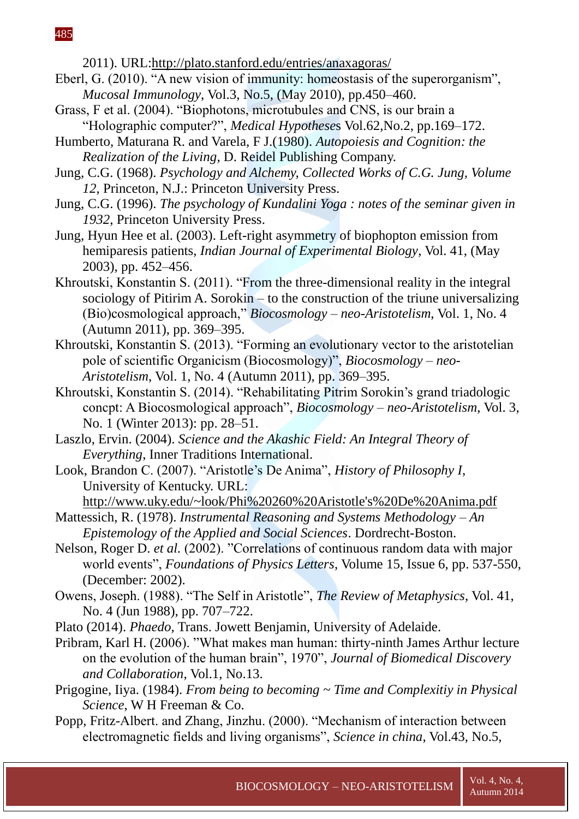2011). URL[:http://plato.stanford.edu/entries/anaxagoras/](http://plato.stanford.edu/entries/anaxagoras/)

- Eberl, G. (2010). "A new vision of immunity: homeostasis of the superorganism", *Mucosal Immunology*, Vol.3, No.5, (May 2010), pp.450–460.
- Grass, F et al. (2004). "Biophotons, microtubules and CNS, is our brain a "Holographic computer?", *Medical Hypothese*s Vol.62,No.2, pp.169–172.
- Humberto, Maturana R. and Varela, F J.(1980). *Autopoiesis and Cognition: the Realization of the Living*, D. Reidel Publishing Company.
- Jung, C.G. (1968). *Psychology and Alchemy, Collected Works of C.G. Jung, Volume 12*, Princeton, N.J.: Princeton University Press.
- Jung, C.G. (1996). *The psychology of Kundalini Yoga : notes of the seminar given in 1932*, Princeton University Press.
- Jung, Hyun Hee et al. (2003). Left-right asymmetry of biophopton emission from hemiparesis patients, *Indian Journal of Experimental Biology*, Vol. 41, (May 2003), pp. 452–456.
- Khroutski, Konstantin S. (2011). "From the three-dimensional reality in the integral sociology of Pitirim A. Sorokin – to the construction of the triune universalizing (Bio)cosmological approach," *Biocosmology – neo-Aristotelism*, Vol. 1, No. 4 (Autumn 2011), pp. 369–395.
- Khroutski, Konstantin S. (2013). "Forming an evolutionary vector to the aristotelian pole of scientific Organicism (Biocosmology)", *Biocosmology – neo-Aristotelism*, Vol. 1, No. 4 (Autumn 2011), pp. 369–395.
- Khroutski, Konstantin S. (2014). "Rehabilitating Pitrim Sorokin's grand triadologic concpt: A Biocosmological approach", *Biocosmology – neo-Aristotelism*, Vol. 3, No. 1 (Winter 2013): pp. 28–51.
- Laszlo, Ervin. (2004). *Science and the Akashic Field: An Integral Theory of Everything*, Inner Traditions International.
- Look, Brandon C. (2007). "Aristotle's De Anima", *History of Philosophy I*, University of Kentucky. URL:
- [http://www.uky.edu/~look/Phi%20260%20Aristotle's%20De%20Anima.pdf](http://www.uky.edu/~look/Phi%20260%20Aristotle) Mattessich, R. (1978). *Instrumental Reasoning and Systems Methodology – An*
- *Epistemology of the Applied and Social Sciences*. Dordrecht-Boston.
- Nelson, Roger D. *et al.* (2002). "Correlations of continuous random data with major world events", *Foundations of Physics Letters*, Volume 15, Issue 6, pp. 537-550, (December: 2002).
- Owens, Joseph. (1988). "The Self in Aristotle", *The Review of Metaphysics*, Vol. 41, No. 4 (Jun 1988), pp. 707–722.
- Plato (2014). *Phaedo,* Trans. Jowett Benjamin, University of Adelaide.
- Pribram, Karl H. (2006). "What makes man human: thirty-ninth James Arthur lecture on the evolution of the human brain", 1970", *Journal of Biomedical Discovery and Collaboration*, Vol.1, No.13.
- Prigogine, Iiya. (1984). *From being to becoming ~ Time and Complexitiy in Physical Science*, W H Freeman & Co.
- Popp, Fritz-Albert. and Zhang, Jinzhu. (2000). "Mechanism of interaction between electromagnetic fields and living organisms", *Science in china*, Vol.43, No.5,